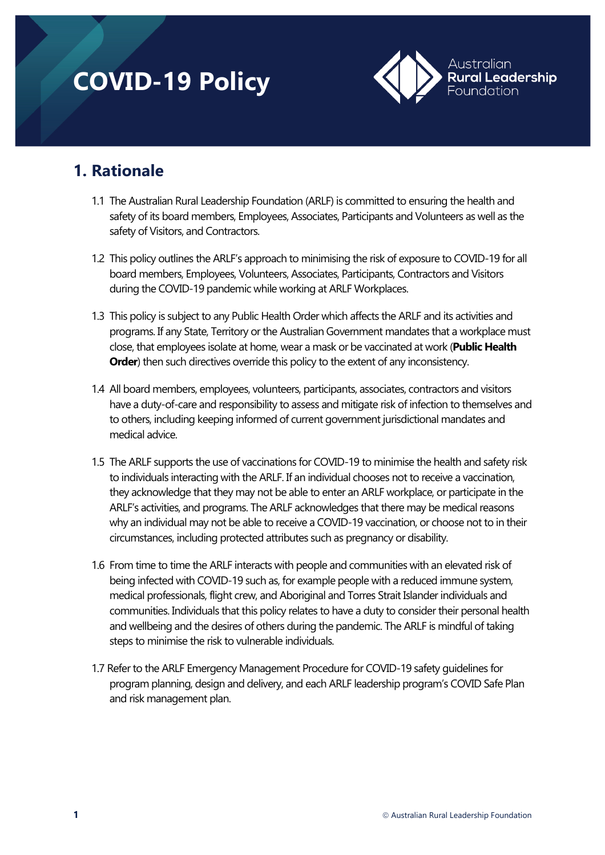# **COVID-19 Policy**



# **1. Rationale**

- 1.1 The Australian Rural Leadership Foundation (ARLF) is committed to ensuring the health and safety of its board members, Employees, Associates, Participants and Volunteers as well as the safety of Visitors, and Contractors.
- 1.2 This policy outlines the ARLF's approach to minimising the risk of exposure to COVID-19 for all board members, Employees, Volunteers, Associates, Participants, Contractors and Visitors during the COVID-19 pandemic while working at ARLF Workplaces.
- 1.3 This policy is subject to any Public Health Order which affects the ARLF and its activities and programs. If any State, Territory or the Australian Government mandates that a workplace must close, that employees isolate at home, wear a mask or be vaccinated at work (**Public Health Order**) then such directives override this policy to the extent of any inconsistency.
- 1.4 All board members, employees, volunteers, participants, associates, contractors and visitors have a duty-of-care and responsibility to assess and mitigate risk of infection to themselves and to others, including keeping informed of current government jurisdictional mandates and medical advice.
- 1.5 The ARLF supports the use of vaccinations for COVID-19 to minimise the health and safety risk to individuals interacting with the ARLF. If an individual chooses not to receive a vaccination, they acknowledge that they may not be able to enter an ARLF workplace, or participate in the ARLF's activities, and programs. The ARLF acknowledges that there may be medical reasons why an individual may not be able to receive a COVID-19 vaccination, or choose not to in their circumstances, including protected attributes such as pregnancy or disability.
- 1.6 From time to time the ARLF interacts with people and communities with an elevated risk of being infected with COVID-19 such as, for example people with a reduced immune system, medical professionals, flight crew, and Aboriginal and Torres Strait Islander individuals and communities. Individuals that this policy relates to have a duty to consider their personal health and wellbeing and the desires of others during the pandemic. The ARLF is mindful of taking steps to minimise the risk to vulnerable individuals.
- 1.7 Refer to the ARLF Emergency Management Procedure for COVID-19 safety guidelines for program planning, design and delivery, and each ARLF leadership program's COVID Safe Plan and risk management plan.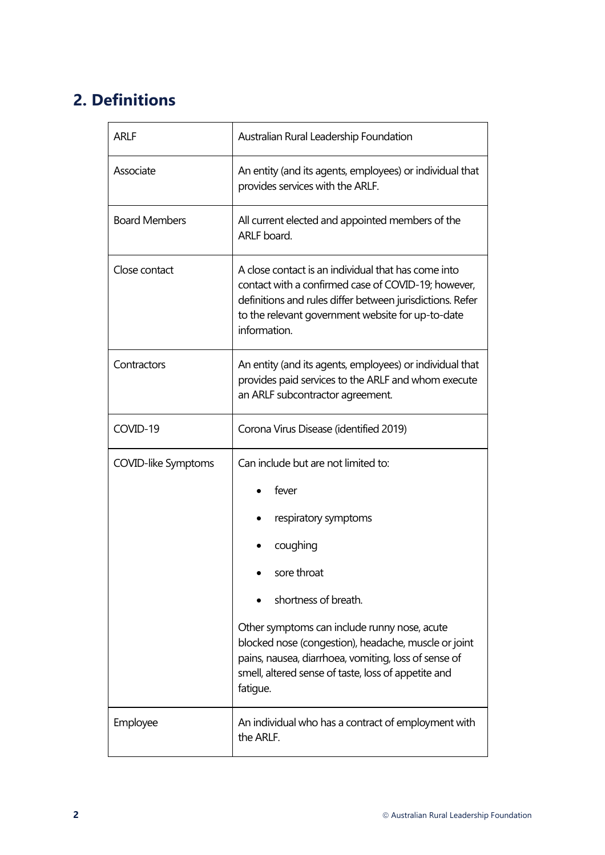# **2. Definitions**

| <b>ARLF</b>                | Australian Rural Leadership Foundation                                                                                                                                                                                                                                                                                                                     |  |
|----------------------------|------------------------------------------------------------------------------------------------------------------------------------------------------------------------------------------------------------------------------------------------------------------------------------------------------------------------------------------------------------|--|
| Associate                  | An entity (and its agents, employees) or individual that<br>provides services with the ARLF.                                                                                                                                                                                                                                                               |  |
| <b>Board Members</b>       | All current elected and appointed members of the<br>ARLF board.                                                                                                                                                                                                                                                                                            |  |
| Close contact              | A close contact is an individual that has come into<br>contact with a confirmed case of COVID-19; however,<br>definitions and rules differ between jurisdictions. Refer<br>to the relevant government website for up-to-date<br>information.                                                                                                               |  |
| Contractors                | An entity (and its agents, employees) or individual that<br>provides paid services to the ARLF and whom execute<br>an ARLF subcontractor agreement.                                                                                                                                                                                                        |  |
| COVID-19                   | Corona Virus Disease (identified 2019)                                                                                                                                                                                                                                                                                                                     |  |
| <b>COVID-like Symptoms</b> | Can include but are not limited to:<br>fever<br>respiratory symptoms<br>coughing<br>sore throat<br>shortness of breath.<br>Other symptoms can include runny nose, acute<br>blocked nose (congestion), headache, muscle or joint<br>pains, nausea, diarrhoea, vomiting, loss of sense of<br>smell, altered sense of taste, loss of appetite and<br>fatigue. |  |
| Employee                   | An individual who has a contract of employment with<br>the ARLF.                                                                                                                                                                                                                                                                                           |  |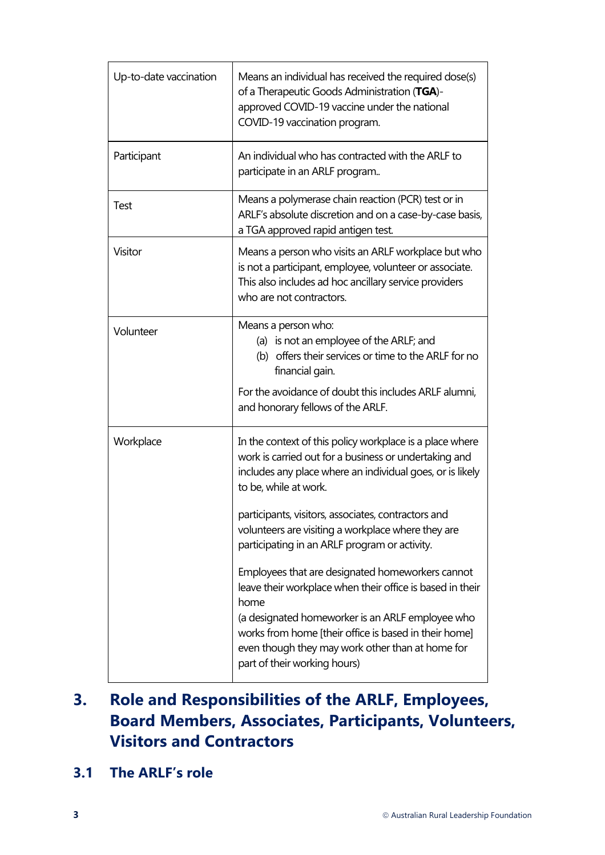| Up-to-date vaccination | Means an individual has received the required dose(s)<br>of a Therapeutic Goods Administration (TGA)-<br>approved COVID-19 vaccine under the national<br>COVID-19 vaccination program.                                                                         |
|------------------------|----------------------------------------------------------------------------------------------------------------------------------------------------------------------------------------------------------------------------------------------------------------|
| Participant            | An individual who has contracted with the ARLF to<br>participate in an ARLF program                                                                                                                                                                            |
| Test                   | Means a polymerase chain reaction (PCR) test or in<br>ARLF's absolute discretion and on a case-by-case basis,<br>a TGA approved rapid antigen test.                                                                                                            |
| Visitor                | Means a person who visits an ARLF workplace but who<br>is not a participant, employee, volunteer or associate.<br>This also includes ad hoc ancillary service providers<br>who are not contractors.                                                            |
| Volunteer              | Means a person who:<br>(a) is not an employee of the ARLF; and<br>(b) offers their services or time to the ARLF for no<br>financial gain.<br>For the avoidance of doubt this includes ARLF alumni,<br>and honorary fellows of the ARLF.                        |
| Workplace              | In the context of this policy workplace is a place where<br>work is carried out for a business or undertaking and<br>includes any place where an individual goes, or is likely<br>to be, while at work.<br>participants, visitors, associates, contractors and |
|                        | volunteers are visiting a workplace where they are<br>participating in an ARLF program or activity.<br>Employees that are designated homeworkers cannot<br>leave their workplace when their office is based in their<br>home                                   |
|                        | (a designated homeworker is an ARLF employee who<br>works from home [their office is based in their home]<br>even though they may work other than at home for<br>part of their working hours)                                                                  |

# **3. Role and Responsibilities of the ARLF, Employees, Board Members, Associates, Participants, Volunteers, Visitors and Contractors**

**3.1 The ARLF's role**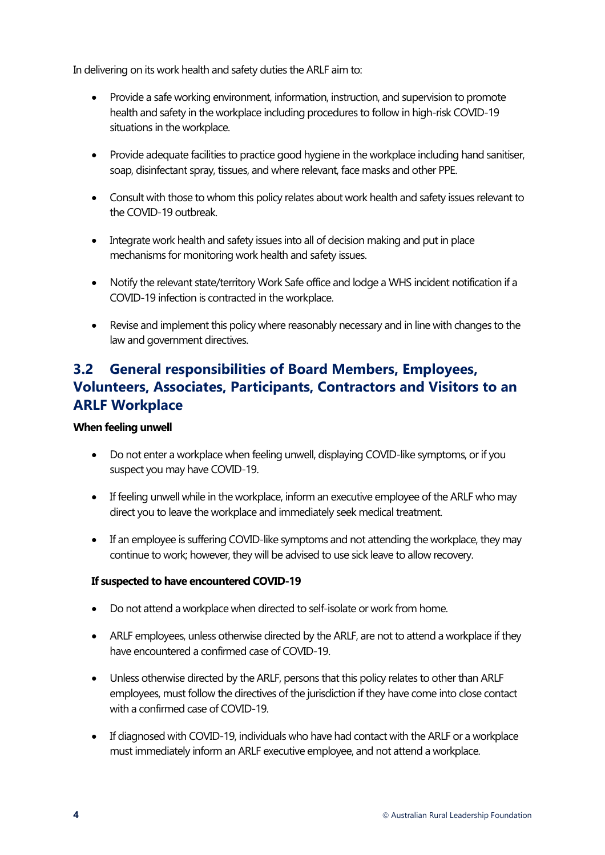In delivering on its work health and safety duties the ARLF aim to:

- Provide a safe working environment, information, instruction, and supervision to promote health and safety in the workplace including procedures to follow in high-risk COVID-19 situations in the workplace.
- Provide adequate facilities to practice good hygiene in the workplace including hand sanitiser, soap, disinfectant spray, tissues, and where relevant, face masks and other PPE.
- Consult with those to whom this policy relates about work health and safety issues relevant to the COVID-19 outbreak.
- Integrate work health and safety issues into all of decision making and put in place mechanisms for monitoring work health and safety issues.
- Notify the relevant state/territor[y Work Safe office](https://www.safeworkaustralia.gov.au/sites/default/files/2021-08/COVID_Incident_Notification_Fact_Sheet-18_August_2021.pdf) and lodge a WHS incident notification if a COVID-19 infection is contracted in the workplace.
- Revise and implement this policy where reasonably necessary and in line with changes to the law and government directives.

## **3.2 General responsibilities of Board Members, Employees, Volunteers, Associates, Participants, Contractors and Visitors to an ARLF Workplace**

#### **When feeling unwell**

- Do not enter a workplace when feeling unwell, displaying COVID-like symptoms, or if you suspect you may have COVID-19.
- If feeling unwell while in the workplace, inform an executive employee of the ARLF who may direct you to leave the workplace and immediately seek medical treatment.
- If an employee is suffering COVID-like symptoms and not attending the workplace, they may continue to work; however, they will be advised to use sick leave to allow recovery.

#### **If suspected to have encountered COVID-19**

- Do not attend a workplace when directed to self-isolate or work from home.
- ARLF employees, unless otherwise directed by the ARLF, are not to attend a workplace if they have encountered a confirmed case of COVID-19.
- Unless otherwise directed by the ARLF, persons that this policy relates to other than ARLF employees, must follow the directives of the jurisdiction if they have come into close contact with a confirmed case of COVID-19.
- If diagnosed with COVID-19, individuals who have had contact with the ARLF or a workplace must immediately inform an ARLF executive employee, and not attend a workplace.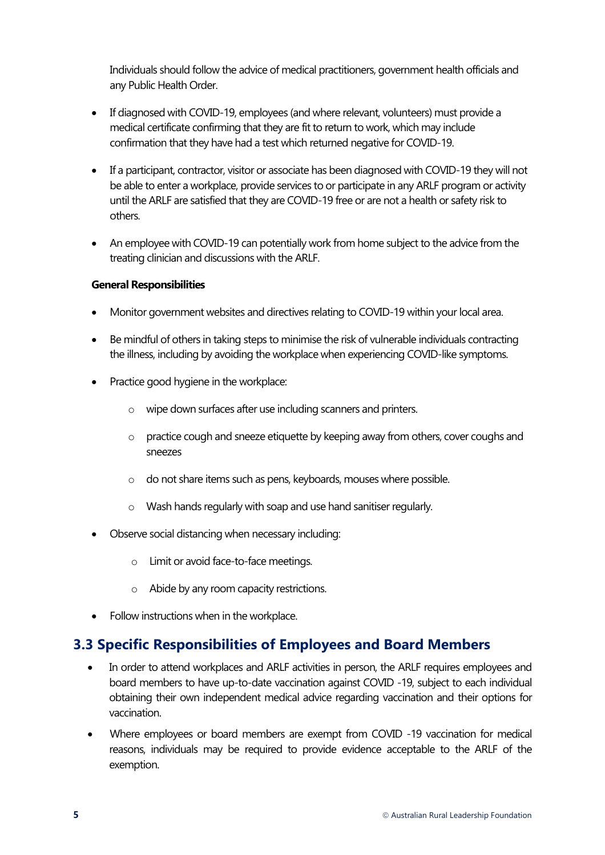Individuals should follow the advice of medical practitioners, government health officials and any Public Health Order.

- If diagnosed with COVID-19, employees (and where relevant, volunteers) must provide a medical certificate confirming that they are fit to return to work, which may include confirmation that they have had a test which returned negative for COVID-19.
- If a participant, contractor, visitor or associate has been diagnosed with COVID-19 they will not be able to enter a workplace, provide services to or participate in any ARLF program or activity until the ARLF are satisfied that they are COVID-19 free or are not a health or safety risk to others.
- An employee with COVID-19 can potentially work from home subject to the advice from the treating clinician and discussions with the ARLF.

#### **General Responsibilities**

- Monitor government websites and directives relating to COVID-19 within your local area.
- Be mindful of others in taking steps to minimise the risk of vulnerable individuals contracting the illness, including by avoiding the workplace when experiencing COVID-like symptoms.
- Practice good hygiene in the workplace:
	- o wipe down surfaces after use including scanners and printers.
	- $\circ$  practice cough and sneeze etiquette by keeping away from others, cover coughs and sneezes
	- o do not share items such as pens, keyboards, mouses where possible.
	- o Wash hands regularly with soap and use hand sanitiser regularly.
- Observe social distancing when necessary including:
	- o Limit or avoid face-to-face meetings.
	- o Abide by any room capacity restrictions.
- Follow instructions when in the workplace.

#### **3.3 Specific Responsibilities of Employees and Board Members**

- In order to attend workplaces and ARLF activities in person, the ARLF requires employees and board members to have up-to-date vaccination against COVID -19, subject to each individual obtaining their own independent medical advice regarding vaccination and their options for vaccination.
- Where employees or board members are exempt from COVID -19 vaccination for medical reasons, individuals may be required to provide evidence acceptable to the ARLF of the exemption.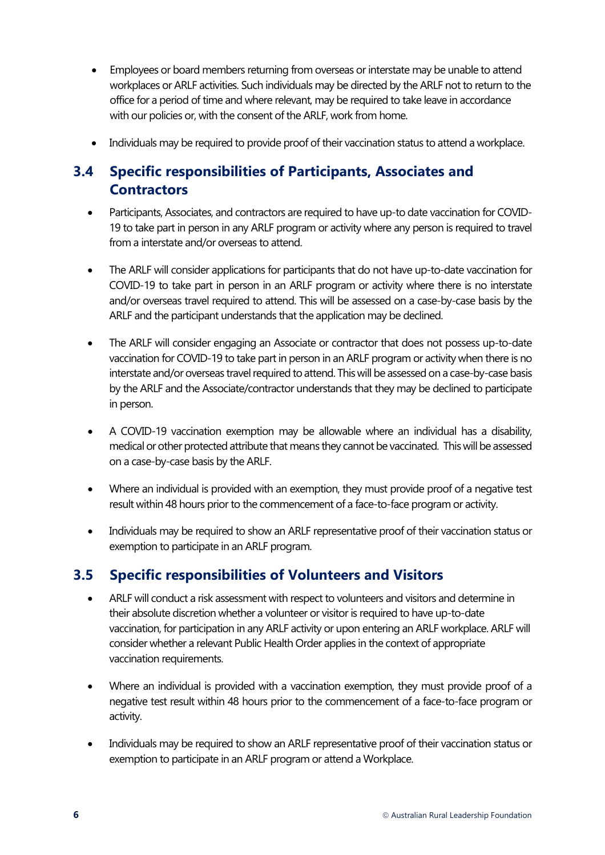- Employees or board members returning from overseas or interstate may be unable to attend workplaces or ARLF activities. Such individuals may be directed by the ARLF not to return to the office for a period of time and where relevant, may be required to take leave in accordance with our policies or, with the consent of the ARLF, work from home.
- Individuals may be required to provide proof of their vaccination status to attend a workplace.

## **3.4 Specific responsibilities of Participants, Associates and Contractors**

- Participants, Associates, and contractors are required to have up-to date vaccination for COVID-19 to take part in person in any ARLF program or activity where any person is required to travel from a interstate and/or overseas to attend.
- The ARLF will consider applications for participants that do not have up-to-date vaccination for COVID-19 to take part in person in an ARLF program or activity where there is no interstate and/or overseas travel required to attend. This will be assessed on a case-by-case basis by the ARLF and the participant understands that the application may be declined.
- The ARLF will consider engaging an Associate or contractor that does not possess up-to-date vaccination for COVID-19 to take part in person in an ARLF program or activity when there is no interstate and/or overseas travel required to attend. This will be assessed on a case-by-case basis by the ARLF and the Associate/contractor understands that they may be declined to participate in person.
- A COVID-19 vaccination exemption may be allowable where an individual has a disability, medical or other protected attribute that means they cannot be vaccinated. This will be assessed on a case-by-case basis by the ARLF.
- Where an individual is provided with an exemption, they must provide proof of a negative test result within 48 hours prior to the commencement of a face-to-face program or activity.
- Individuals may be required to show an ARLF representative proof of their vaccination status or exemption to participate in an ARLF program.

### **3.5 Specific responsibilities of Volunteers and Visitors**

- ARLF will conduct a risk assessment with respect to volunteers and visitors and determine in their absolute discretion whether a volunteer or visitor is required to have up-to-date vaccination, for participation in any ARLF activity or upon entering an ARLF workplace. ARLF will consider whether a relevant Public Health Order applies in the context of appropriate vaccination requirements.
- Where an individual is provided with a vaccination exemption, they must provide proof of a negative test result within 48 hours prior to the commencement of a face-to-face program or activity.
- Individuals may be required to show an ARLF representative proof of their vaccination status or exemption to participate in an ARLF program or attend a Workplace.